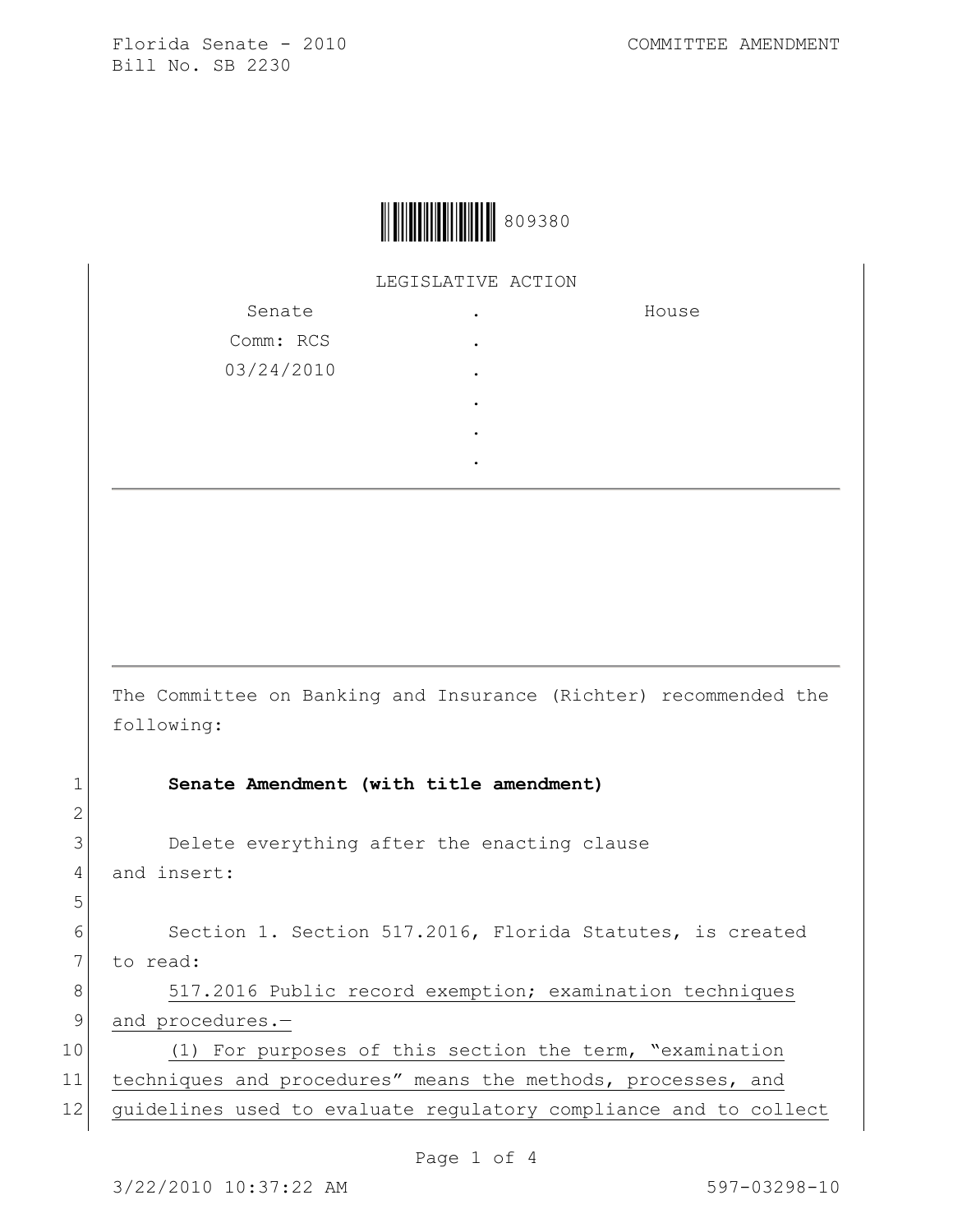

LEGISLATIVE ACTION

| Senate     | ٠ | House |
|------------|---|-------|
| Comm: RCS  | ٠ |       |
| 03/24/2010 | ٠ |       |
|            | ٠ |       |
|            | ٠ |       |
|            | ٠ |       |

The Committee on Banking and Insurance (Richter) recommended the following:

1 **Senate Amendment (with title amendment)**

3 Delete everything after the enacting clause 4 and insert:

2

5

6 Section 1. Section 517.2016, Florida Statutes, is created 7 to read:

8 517.2016 Public record exemption; examination techniques 9 and procedures.-

10 (1) For purposes of this section the term, "examination 11 techniques and procedures" means the methods, processes, and 12 guidelines used to evaluate regulatory compliance and to collect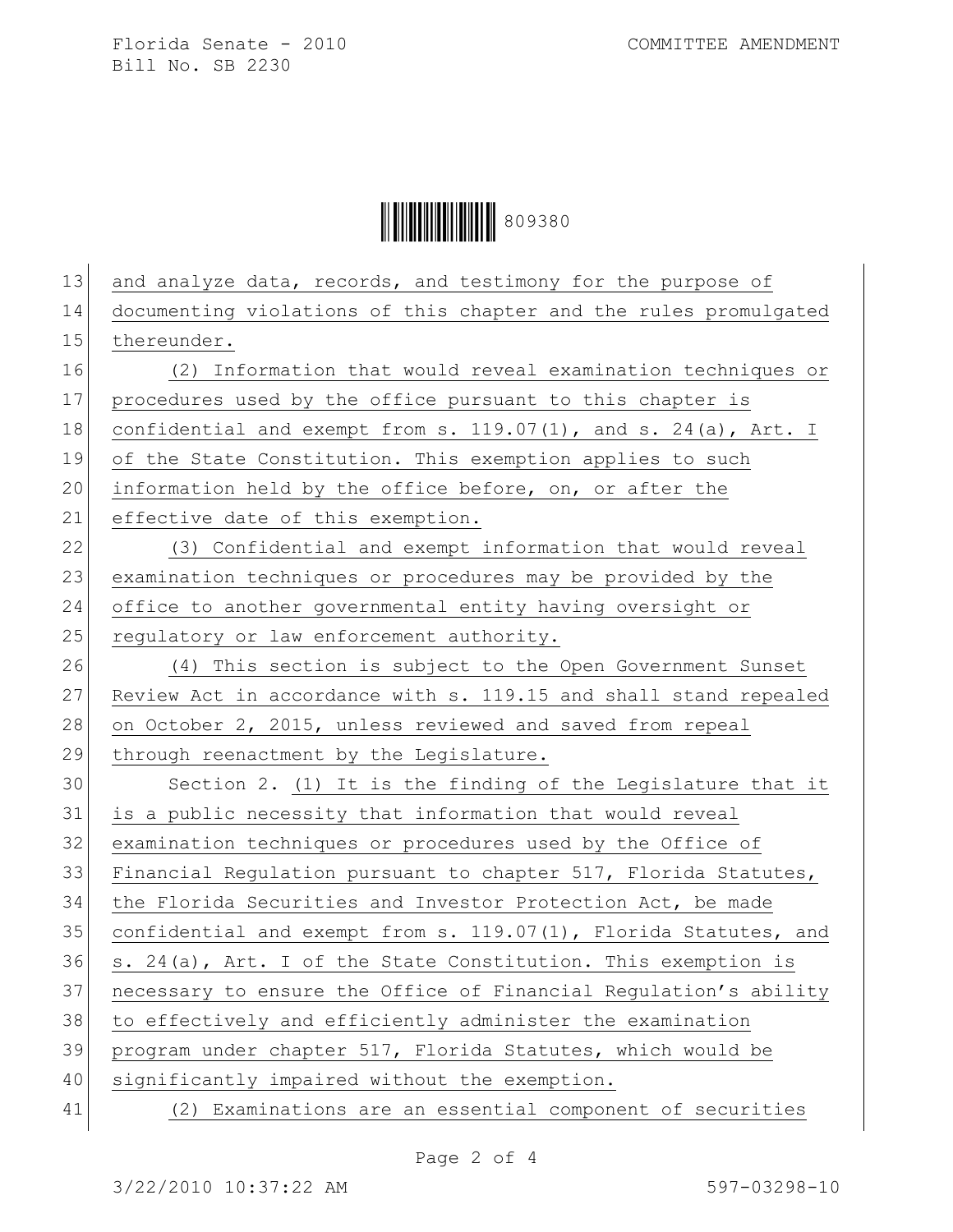Florida Senate - 2010 COMMITTEE AMENDMENT Bill No. SB 2230

**│ ││ │││││││││││││││** 809380

| 13 | and analyze data, records, and testimony for the purpose of      |
|----|------------------------------------------------------------------|
| 14 | documenting violations of this chapter and the rules promulgated |
| 15 | thereunder.                                                      |
| 16 | (2) Information that would reveal examination techniques or      |
| 17 | procedures used by the office pursuant to this chapter is        |
| 18 | confidential and exempt from s. 119.07(1), and s. 24(a), Art. I  |
| 19 | of the State Constitution. This exemption applies to such        |
| 20 | information held by the office before, on, or after the          |
| 21 | effective date of this exemption.                                |
| 22 | (3) Confidential and exempt information that would reveal        |
| 23 | examination techniques or procedures may be provided by the      |
| 24 | office to another governmental entity having oversight or        |
| 25 | regulatory or law enforcement authority.                         |
| 26 | (4) This section is subject to the Open Government Sunset        |
| 27 | Review Act in accordance with s. 119.15 and shall stand repealed |
| 28 | on October 2, 2015, unless reviewed and saved from repeal        |
| 29 | through reenactment by the Legislature.                          |
| 30 | Section 2. (1) It is the finding of the Legislature that it      |
| 31 | is a public necessity that information that would reveal         |
| 32 | examination techniques or procedures used by the Office of       |
| 33 | Financial Regulation pursuant to chapter 517, Florida Statutes,  |
| 34 | the Florida Securities and Investor Protection Act, be made      |
| 35 | confidential and exempt from s. 119.07(1), Florida Statutes, and |
| 36 | s. 24(a), Art. I of the State Constitution. This exemption is    |
| 37 | necessary to ensure the Office of Financial Regulation's ability |
| 38 | to effectively and efficiently administer the examination        |
| 39 | program under chapter 517, Florida Statutes, which would be      |
| 40 | significantly impaired without the exemption.                    |
| 41 | (2) Examinations are an essential component of securities        |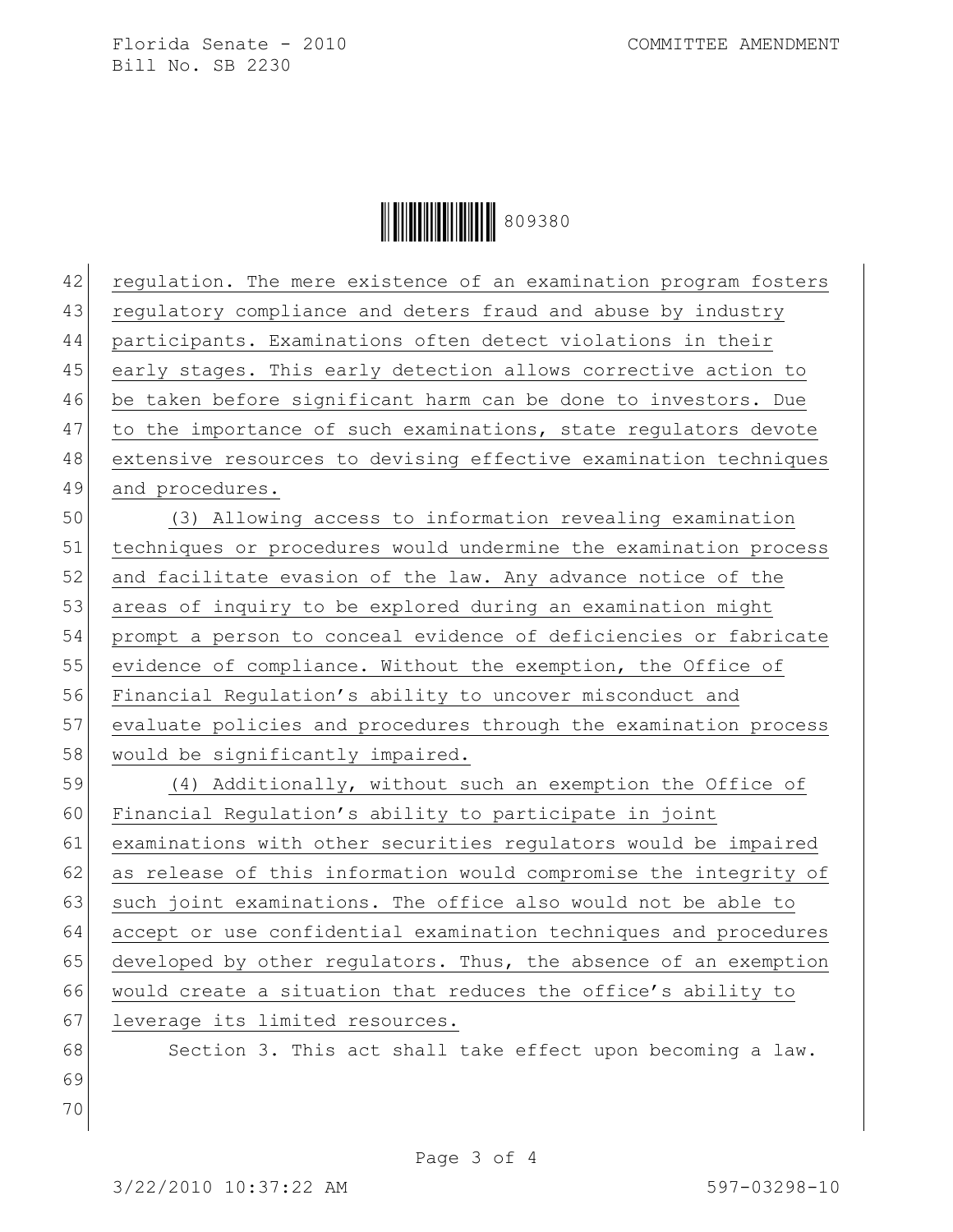Florida Senate - 2010 COMMITTEE AMENDMENT Bill No. SB 2230

**│ ││ │││││││││││││││** 809380

| 42 | regulation. The mere existence of an examination program fosters |
|----|------------------------------------------------------------------|
| 43 | regulatory compliance and deters fraud and abuse by industry     |
| 44 | participants. Examinations often detect violations in their      |
| 45 | early stages. This early detection allows corrective action to   |
| 46 | be taken before significant harm can be done to investors. Due   |
| 47 | to the importance of such examinations, state regulators devote  |
| 48 | extensive resources to devising effective examination techniques |
| 49 | and procedures.                                                  |
| 50 | (3) Allowing access to information revealing examination         |
| 51 | techniques or procedures would undermine the examination process |
| 52 | and facilitate evasion of the law. Any advance notice of the     |
| 53 | areas of inquiry to be explored during an examination might      |
| 54 | prompt a person to conceal evidence of deficiencies or fabricate |
| 55 | evidence of compliance. Without the exemption, the Office of     |
| 56 | Financial Regulation's ability to uncover misconduct and         |
| 57 | evaluate policies and procedures through the examination process |
| 58 | would be significantly impaired.                                 |
| 59 | (4) Additionally, without such an exemption the Office of        |
| 60 | Financial Regulation's ability to participate in joint           |
| 61 | examinations with other securities regulators would be impaired  |
| 62 | as release of this information would compromise the integrity of |
| 63 | such joint examinations. The office also would not be able to    |
| 64 | accept or use confidential examination techniques and procedures |
| 65 | developed by other regulators. Thus, the absence of an exemption |
| 66 | would create a situation that reduces the office's ability to    |
| 67 | leverage its limited resources.                                  |
| 68 | Section 3. This act shall take effect upon becoming a law.       |
| 69 |                                                                  |
| 70 |                                                                  |
|    |                                                                  |